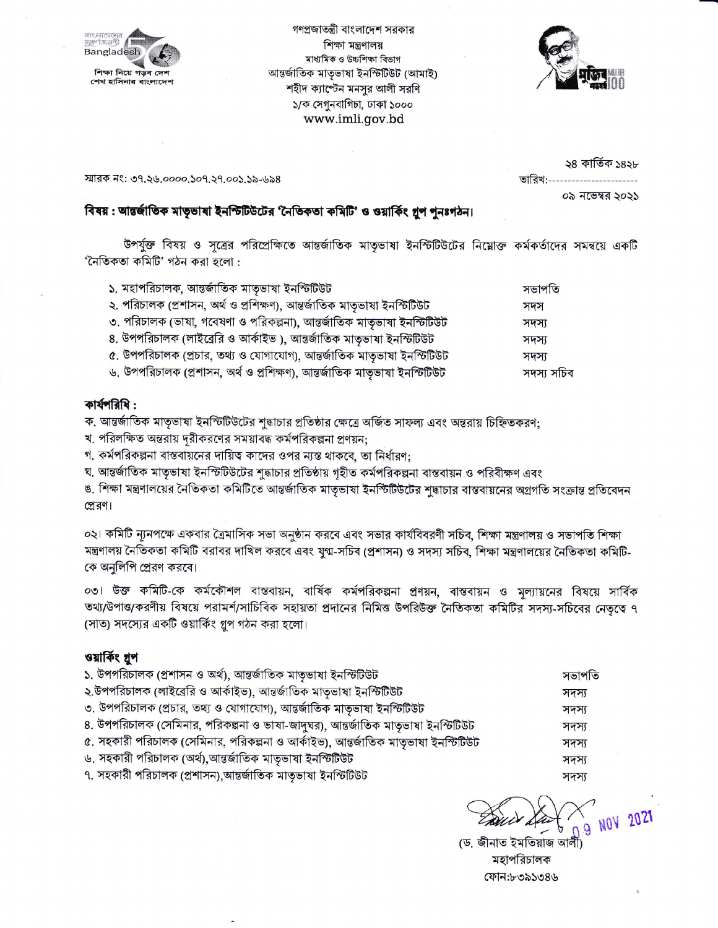

গণপ্রজাতন্ত্রী বাংলাদেশ সরকার শিক্ষা মন্ত্ৰণালয় মাধ্যমিক ও উচ্চশিক্ষা বিভাগ আন্তর্জাতিক মাতৃভাষা ইনস্টিটিউট (আমাই) শহীদ ক্যাপ্টেন মনসুর আলী সরণি ১/ক সেগুনবাগিচা, ঢাকা ১০০০ www.imli.gov.bd



স্মারক নং: ৩৭.২৬.০০০০.১০৭.২৭.০০১.১৯-৬৯৪

২৪ কার্তিক ১৪২৮ তারিখ:---০৯ নভেম্বর ২০২১

সভাপতি সদস

সদস্য

সদস্য

সদস্য

সদস্য সচিব

# বিষয় : আন্তর্জাতিক মাতৃভাষা ইনস্টিটিউটের 'নৈতিকতা কমিটি' ও ওয়ার্কিং গ্রুপ পুনঃগঠন।

উপর্যুক্ত বিষয় ও সূত্রের পরিপ্রেক্ষিতে আন্তর্জাতিক মাতৃভাষা ইনস্টিটিউটের নিয়োক্ত কর্মকর্তাদের সমন্বয়ে একটি 'নৈতিকতা কমিটি' গঠন করা হলো :

| ১. মহাপরিচালক, আন্তর্জাতিক মাতৃভাষা ইনস্টিটিউট                          |  |
|-------------------------------------------------------------------------|--|
| ২. পরিচালক (প্রশাসন, অর্থ ও প্রশিক্ষণ), আন্তর্জাতিক মাতৃভাষা ইনস্টিটিউট |  |

৩. পরিচালক (ভাষা, গবেষণা ও পরিকল্পনা), আন্তর্জাতিক মাতৃভাষা ইনস্টিটিউট

৪. উপপরিচালক (লাইব্রেরি ও আর্কাইভ ), আন্তর্জাতিক মাতৃভাষা ইনস্টিটিউট

৫. উপপরিচালক (প্রচার, তথ্য ও যোগাযোগ), আন্তর্জাতিক মাতৃভাষা ইনস্টিটিউট

৬. উপপরিচালক (প্রশাসন, অর্থ ও প্রশিক্ষণ), আন্তর্জাতিক মাতৃভাষা ইনস্টিটিউট

#### কাৰ্যপরিধি :

ক. আন্তর্জাতিক মাতৃভাষা ইনস্টিটিউটের শুদ্ধাচার প্রতিষ্ঠার ক্ষেত্রে অর্জিত সাফল্য এবং অন্তরায় চিহ্নিতকরণ;

খ. পরিলক্ষিত অন্তরায় দূরীকরণের সময়াবদ্ধ কর্মপরিকল্পনা প্রণয়ন;

গ. কর্মপরিকল্পনা বাস্তবায়নের দায়িত্ব কাদের ওপর ন্যস্ত থাকবে, তা নির্ধারণ;

ঘ. আন্তর্জাতিক মাতৃভাষা ইনস্টিটিউটের শৃদ্ধাচার প্রতিষ্ঠায় গৃহীত কর্মপরিকল্পনা বাস্তবায়ন ও পরিবীক্ষণ এবং

ঙ. শিক্ষা মন্ত্রণালয়ের নৈতিকতা কমিটিতে আন্তর্জাতিক মাতৃভাষা ইনস্টিটিউটের শুদ্ধাচার বাস্তবায়নের অগ্রগতি সংক্রান্ত প্রতিবেদন প্রেরণ।

০২। কমিটি ন্যূনপক্ষে একবার ত্রৈমাসিক সভা অনুষ্ঠান করবে এবং সভার কার্যবিবরণী সচিব, শিক্ষা মন্ত্রণালয় ও সভাপতি শিক্ষা মন্ত্রণালয় নৈতিকতা কমিটি বরাবর দাখিল করবে এবং যুগ্ম-সচিব (প্রশাসন) ও সদস্য সচিব, শিক্ষা মন্ত্রণালয়ের নৈতিকতা কমিটি-কে অনুলিপি প্রেরণ করবে।

০৩। উক্ত কমিটি-কে কর্মকৌশল বাস্তবায়ন, বার্ষিক কর্মপরিকল্পনা প্রণয়ন, বাস্তবায়ন ও মূল্যায়নের বিষয়ে সার্বিক তথ্য/উপাত্ত/করণীয় বিষয়ে পরামর্শ/সাচিবিক সহায়তা প্রদানের নিমিত্ত উপরিউক্ত নৈতিকতা কমিটির সদস্য-সচিবের নেতৃত্বে ৭ (সাত) সদস্যের একটি ওয়ার্কিং গ্রুপ গঠন করা হলো।

### ওয়ার্কিং গ্রুপ

| ১. উপপরিচালক (প্রশাসন ও অর্থ), আন্তর্জাতিক মাতৃভাষা ইনস্টিটিউট                    | সভাপতি |
|-----------------------------------------------------------------------------------|--------|
| ২.উপপরিচালক (লাইব্রেরি ও আর্কাইভ), আন্তর্জাতিক মাতৃভাষা ইনস্টিটিউট                | সদস্য  |
| ৩. উপপরিচালক (প্রচার, তথ্য ও যোগাযোগ), আন্তর্জাতিক মাতৃভাষা ইনস্টিটিউট            | সদস্য  |
| ৪. উপপরিচালক (সেমিনার, পরিকল্পনা ও ভাষা-জাদুঘর), আন্তর্জাতিক মাতৃভাষা ইনস্টিটিউট  | সদস্য  |
| ৫. সহকারী পরিচালক (সেমিনার, পরিকল্পনা ও আর্কাইভ), আন্তর্জাতিক মাতৃভাষা ইনস্টিটিউট | সদস্য  |
| ৬. সহকারী পরিচালক (অর্থ),আন্তর্জাতিক মাতৃভাষা ইনস্টিটিউট                          | সদস্য  |
| ৭. সহকারী পরিচালক (প্রশাসন),আন্তর্জাতিক মাতৃভাষা ইনস্টিটিউট                       | সদস্য  |

(ড. জীনাত ইমতিয়াজ আৰ্লী) মহাপরিচালক ফোন:৮৩৯১৩৪৬